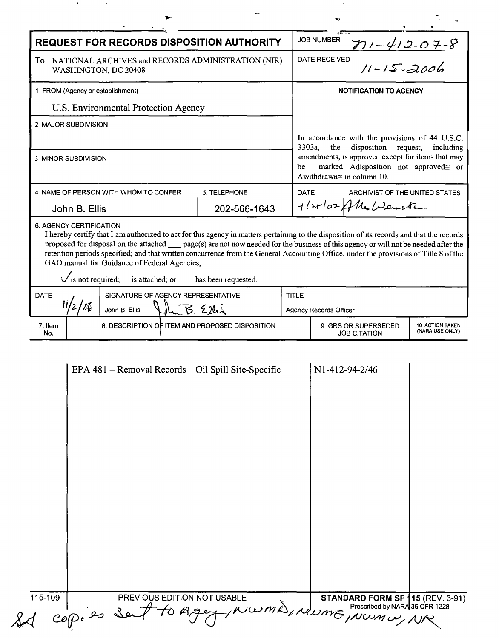|                                                                                | <b>REQUEST FOR RECORDS DISPOSITION AUTHORITY</b>                                                                                                                                                                                                                                                                                                                                                                                                                                                             |                     |                                                                                                                                      | <b>JOB NUMBER</b>             | $711 - 412 - 07 - 8$                                                   |           |
|--------------------------------------------------------------------------------|--------------------------------------------------------------------------------------------------------------------------------------------------------------------------------------------------------------------------------------------------------------------------------------------------------------------------------------------------------------------------------------------------------------------------------------------------------------------------------------------------------------|---------------------|--------------------------------------------------------------------------------------------------------------------------------------|-------------------------------|------------------------------------------------------------------------|-----------|
| To: NATIONAL ARCHIVES and RECORDS ADMINISTRATION (NIR)<br>WASHINGTON, DC 20408 |                                                                                                                                                                                                                                                                                                                                                                                                                                                                                                              |                     | $11 - 15 - 2006$<br>DATE RECEIVED                                                                                                    |                               |                                                                        |           |
| 1 FROM (Agency or establishment)                                               |                                                                                                                                                                                                                                                                                                                                                                                                                                                                                                              |                     |                                                                                                                                      | <b>NOTIFICATION TO AGENCY</b> |                                                                        |           |
| U.S. Environmental Protection Agency                                           |                                                                                                                                                                                                                                                                                                                                                                                                                                                                                                              |                     |                                                                                                                                      |                               |                                                                        |           |
| 2 MAJOR SUBDIVISION                                                            |                                                                                                                                                                                                                                                                                                                                                                                                                                                                                                              |                     |                                                                                                                                      |                               |                                                                        |           |
|                                                                                |                                                                                                                                                                                                                                                                                                                                                                                                                                                                                                              |                     | 3303a,                                                                                                                               | the                           | In accordance with the provisions of 44 U.S.C.<br>disposition request, | including |
| 3 MINOR SUBDIVISION                                                            |                                                                                                                                                                                                                                                                                                                                                                                                                                                                                                              |                     | amendments, is approved except for items that may<br>marked Adisposition not approved≅ or<br>be<br>A withdrawn $\cong$ in column 10. |                               |                                                                        |           |
|                                                                                | 4 NAME OF PERSON WITH WHOM TO CONFER                                                                                                                                                                                                                                                                                                                                                                                                                                                                         | 5. TELEPHONE        | <b>DATE</b>                                                                                                                          |                               | ARCHIVIST OF THE UNITED STATES                                         |           |
| John B. Ellis                                                                  |                                                                                                                                                                                                                                                                                                                                                                                                                                                                                                              | 202-566-1643        |                                                                                                                                      |                               | 4/20107 Alle Warreth                                                   |           |
|                                                                                |                                                                                                                                                                                                                                                                                                                                                                                                                                                                                                              |                     |                                                                                                                                      |                               |                                                                        |           |
|                                                                                | I hereby certify that I am authorized to act for this agency in matters pertaining to the disposition of its records and that the records<br>proposed for disposal on the attached __ page(s) are not now needed for the business of this agency or will not be needed after the<br>retention periods specified; and that written concurrence from the General Accounting Office, under the provisions of Title 8 of the<br>GAO manual for Guidance of Federal Agencies,<br>is not required; is attached; or | has been requested. |                                                                                                                                      |                               |                                                                        |           |
| 6. AGENCY CERTIFICATION<br><b>DATE</b><br>'bl                                  | SIGNATURE OF AGENCY REPRESENTATIVE<br>John B Ellis                                                                                                                                                                                                                                                                                                                                                                                                                                                           | B. Elli             | <b>TITLE</b>                                                                                                                         | <b>Agency Records Officer</b> |                                                                        |           |

|         | _______<br>---<br>- r -<br>— г –                     |                                  |  |
|---------|------------------------------------------------------|----------------------------------|--|
|         |                                                      |                                  |  |
|         |                                                      |                                  |  |
|         |                                                      |                                  |  |
|         |                                                      |                                  |  |
|         |                                                      |                                  |  |
|         |                                                      |                                  |  |
|         |                                                      |                                  |  |
|         |                                                      |                                  |  |
|         |                                                      |                                  |  |
|         |                                                      |                                  |  |
|         |                                                      |                                  |  |
|         |                                                      |                                  |  |
|         |                                                      |                                  |  |
|         |                                                      |                                  |  |
|         |                                                      |                                  |  |
|         |                                                      |                                  |  |
|         |                                                      |                                  |  |
|         |                                                      |                                  |  |
|         |                                                      |                                  |  |
|         |                                                      |                                  |  |
|         |                                                      |                                  |  |
|         |                                                      |                                  |  |
|         |                                                      |                                  |  |
|         |                                                      |                                  |  |
|         |                                                      |                                  |  |
|         |                                                      |                                  |  |
|         |                                                      |                                  |  |
|         |                                                      |                                  |  |
|         |                                                      |                                  |  |
|         |                                                      |                                  |  |
|         |                                                      |                                  |  |
|         |                                                      |                                  |  |
|         |                                                      |                                  |  |
|         |                                                      |                                  |  |
|         |                                                      |                                  |  |
|         |                                                      |                                  |  |
|         |                                                      |                                  |  |
| 115-109 | PREVIOUS EDITION NOT USABLE                          |                                  |  |
|         | EDITION NOT OSNOLL<br>to Ageg, NUWMD, NWME, NWMW, NR | STANDARD FORM SF 115 (REV. 3-91) |  |
|         |                                                      | Prescribed by NARA 36 CFR 1228   |  |
|         |                                                      |                                  |  |
|         |                                                      |                                  |  |
|         | $copi$ is set                                        |                                  |  |
|         |                                                      |                                  |  |
|         |                                                      |                                  |  |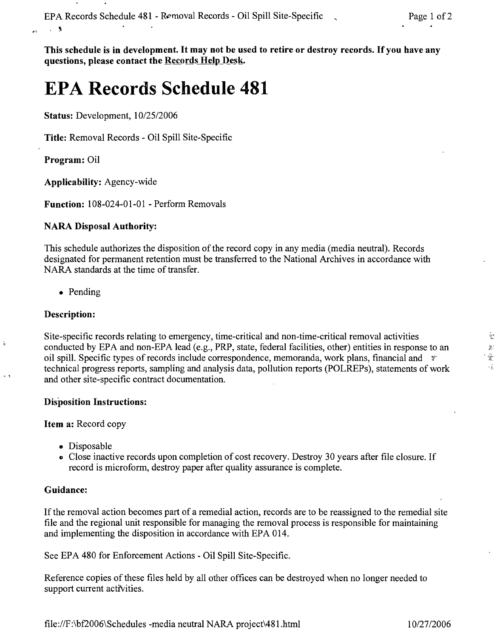This schedule is in development. It may not be used to retire or destroy records. If you have any questions, please contact the Records Help Desk.

# **EPA Records Schedule 481**

Status: Development, *10/25/2006*

Title: Removal Records - Oil Spill Site-Specific

Program: Oil

 $\sim$  5

 $\mathbf{r}$ 

Applicability: Agency-wide

Function: 108-024-01-01 - Perform Removals

#### NARA Disposal Authority:

This schedule authorizes the disposition of the record copy in any media (media neutral). Records designated for permanent retention must be transferred to the National Archives in accordance with NARA standards at the time of transfer.

• Pending

### Description:

ţ.

Site-specific records relating to emergency, time-critical and non-time-critical removal activities conducted by EPA and non-EPA lead (e.g., PRP, state, federal facilities, other) entities in response to an oil spill. Specific types of records include correspondence, memoranda, work plans, financial and  $\ddot{\tau}$ technical progress reports, sampling and analysis data, pollution reports (POLREPs), statements of work and other site-specific contract documentation.

#### Disposition Instructions:

#### Item a: Record copy

- Disposable
- ., Close inactive records upon completion of cost recovery. Destroy 30 years after file closure. If record is microform, destroy paper after quality assurance is complete.

# Guidance:

If the removal action becomes part of a remedial action, records are to be reassigned to the remedial site file and the regional unit responsible for managing the removal process is responsible for maintaining and implementing the disposition in accordance with EPA 014.

See EPA 480 for Enforcement Actions - Oil Spill Site-Specific.

Reference copies of these files held by all other offices can be destroyed when no longer needed to support current activities.

 $\frac{1}{2}$ 

 $\mathcal{G}_i$  $\frac{1}{\sqrt{2}}$  $\sqrt{2}$